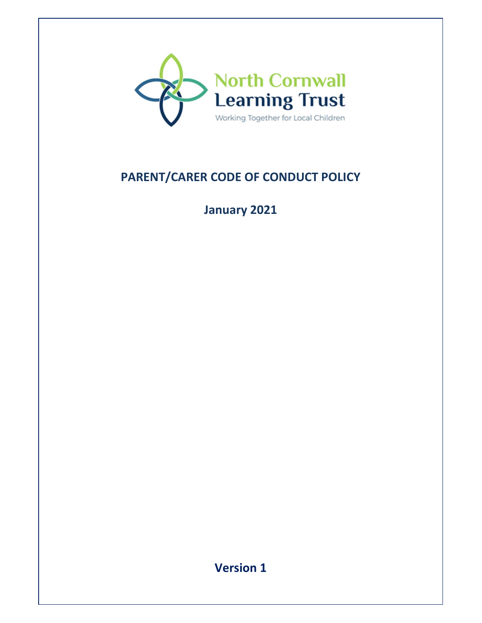

# **PARENT/CARER CODE OF CONDUCT POLICY**

## **January 2021**

**Version 1**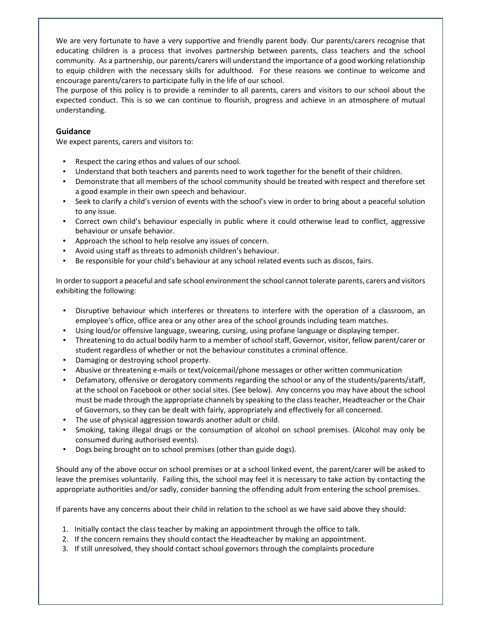We are very fortunate to have a very supportive and friendly parent body. Our parents/carers recognise that educating children is a process that involves partnership between parents, class teachers and the school community. As a partnership, our parents/carers will understand the importance of a good working relationship to equip children with the necessary skills for adulthood. For these reasons we continue to welcome and encourage parents/carers to participate fully in the life of our school.

The purpose of this policy is to provide a reminder to all parents, carers and visitors to our school about the expected conduct. This is so we can continue to flourish, progress and achieve in an atmosphere of mutual understanding.

### **Guidance**

We expect parents, carers and visitors to:

- Respect the caring ethos and values of our school.
- Understand that both teachers and parents need to work together for the benefit of their children.
- Demonstrate that all members of the school community should be treated with respect and therefore set a good example in their own speech and behaviour.
- Seek to clarify a child's version of events with the school's view in order to bring about a peaceful solution to any issue.
- Correct own child's behaviour especially in public where it could otherwise lead to conflict, aggressive behaviour or unsafe behavior.
- Approach the school to help resolve any issues of concern.
- Avoid using staff as threats to admonish children's behaviour.
- Be responsible for your child's behaviour at any school related events such as discos, fairs.

In order to support a peaceful and safe school environment the school cannot tolerate parents, carers and visitors exhibiting the following:

- Disruptive behaviour which interferes or threatens to interfere with the operation of a classroom, an employee's office, office area or any other area of the school grounds including team matches.
- Using loud/or offensive language, swearing, cursing, using profane language or displaying temper.
- Threatening to do actual bodily harm to a member of school staff, Governor, visitor, fellow parent/carer or student regardless of whether or not the behaviour constitutes a criminal offence.
- Damaging or destroying school property.
- Abusive or threatening e-mails or text/voicemail/phone messages or other written communication
- Defamatory, offensive or derogatory comments regarding the school or any of the students/parents/staff, at the school on Facebook or other social sites. (See below). Any concerns you may have about the school must be made through the appropriate channels by speaking to the class teacher, Headteacher or the Chair of Governors, so they can be dealt with fairly, appropriately and effectively for all concerned.
- The use of physical aggression towards another adult or child.
- Smoking, taking illegal drugs or the consumption of alcohol on school premises. (Alcohol may only be consumed during authorised events).
- Dogs being brought on to school premises (other than guide dogs).

Should any of the above occur on school premises or at a school linked event, the parent/carer will be asked to leave the premises voluntarily. Failing this, the school may feel it is necessary to take action by contacting the appropriate authorities and/or sadly, consider banning the offending adult from entering the school premises.

If parents have any concerns about their child in relation to the school as we have said above they should:

- 1. Initially contact the class teacher by making an appointment through the office to talk.
- 2. If the concern remains they should contact the Headteacher by making an appointment.
- 3. If still unresolved, they should contact school governors through the complaints procedure